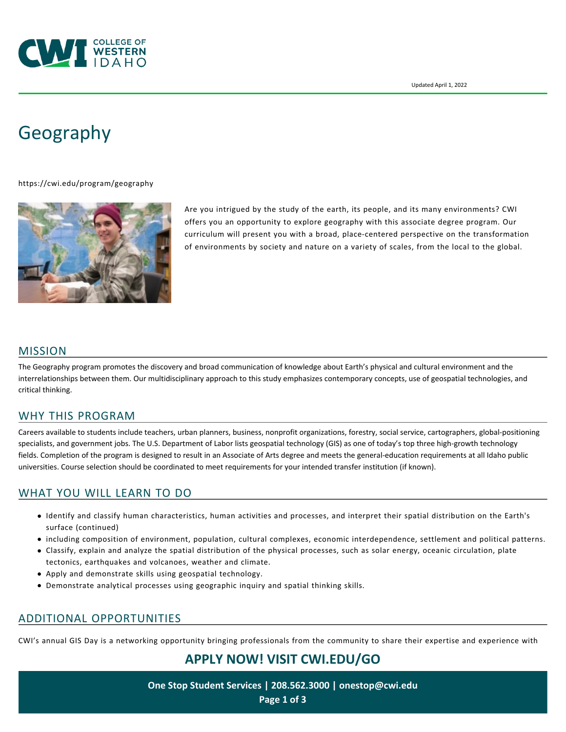

# [Geography](https://cwi.edu/program/geography)

<https://cwi.edu/program/geography>



Are you intrigued by the study of the earth, its people, and its many environments? CWI offers you an opportunity to explore geography with this associate degree program. Our curriculum will present you with a broad, place-centered perspective on the transformation of environments by society and nature on a variety of scales, from the local to the global.

#### MISSION

The Geography program promotes the discovery and broad communication of knowledge about Earth's physical and cultural environment and the interrelationships between them. Our multidisciplinary approach to this study emphasizes contemporary concepts, use of geospatial technologies, and critical thinking.

#### WHY THIS PROGRAM

Careers available to students include teachers, urban planners, business, nonprofit organizations, forestry, social service, cartographers, global-positioning specialists, and government jobs. The U.S. Department of Labor lists geospatial technology (GIS) as one of today's top three high-growth technology fields. Completion of the program is designed to result in an Associate of Arts degree and meets the general-education requirements at all Idaho public universities. Course selection should be coordinated to meet requirements for your intended transfer institution (if known).

## WHAT YOU WILL LEARN TO DO

- Identify and classify human characteristics, human activities and processes, and interpret their spatial distribution on the Earth's surface (continued)
- including composition of environment, population, cultural complexes, economic interdependence, settlement and political patterns.
- Classify, explain and analyze the spatial distribution of the physical processes, such as solar energy, oceanic circulation, plate tectonics, earthquakes and volcanoes, weather and climate.
- Apply and demonstrate skills using geospatial technology.
- Demonstrate analytical processes using geographic inquiry and spatial thinking skills.

#### ADDITIONAL OPPORTUNITIES

CWI's annual GIS Day is a networking opportunity bringing professionals from the community to share their expertise and experience with

**APPLY NOW! VISIT [CWI.EDU/GO](http://cwi.edu/go)**

**One Stop Student Services | 208.562.3000 | [onestop@cwi.edu](mailto:onestop@cwi.edu) Page 1 of 3**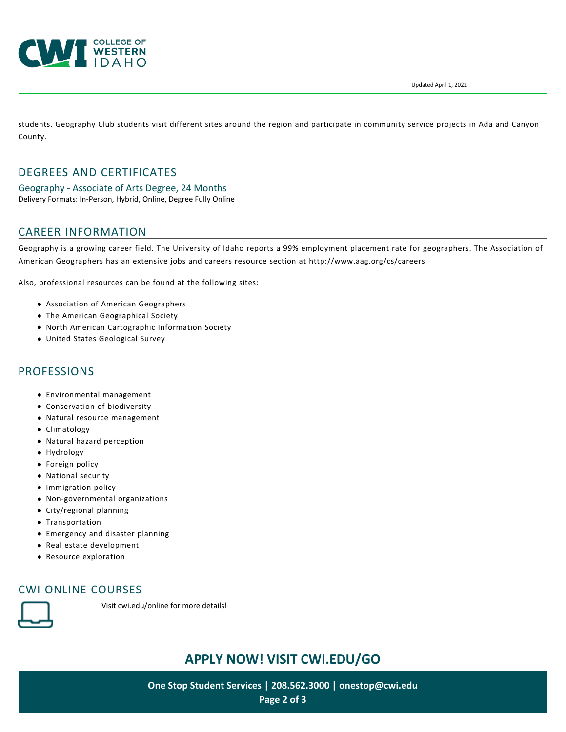



students. Geography Club students visit different sites around the region and participate in community service projects in Ada and Canyon County.

# DEGREES AND CERTIFICATES

Geography - Associate of Arts Degree, 24 Months Delivery Formats: In-Person, Hybrid, Online, Degree Fully Online

## CAREER INFORMATION

Geography is a growing career field. The University of Idaho reports a 99% employment placement rate for geographers. The Association of American Geographers has an extensive jobs and careers resource section at <http://www.aag.org/cs/careers>

Also, professional resources can be found at the following sites:

- [Association of American Geographers](http://www.aag.org/)
- [The American Geographical Society](http://americangeo.org/)
- [North American Cartographic Information Society](http://www.nacis.org/)
- [United States Geological Survey](http://www.usgs.gov/)

#### PROFESSIONS

- Environmental management
- Conservation of biodiversity
- Natural resource management
- Climatology
- Natural hazard perception
- Hydrology
- **•** Foreign policy
- National security
- Immigration policy
- Non-governmental organizations
- City/regional planning
- **Transportation**
- Emergency and disaster planning
- Real estate development
- Resource exploration

# CWI ONLINE COURSES



Visit [cwi.edu/online](https://cwi.edu/online) for more details!

# **APPLY NOW! VISIT [CWI.EDU/GO](http://cwi.edu/go)**

**One Stop Student Services | 208.562.3000 | [onestop@cwi.edu](mailto:onestop@cwi.edu) Page 2 of 3**